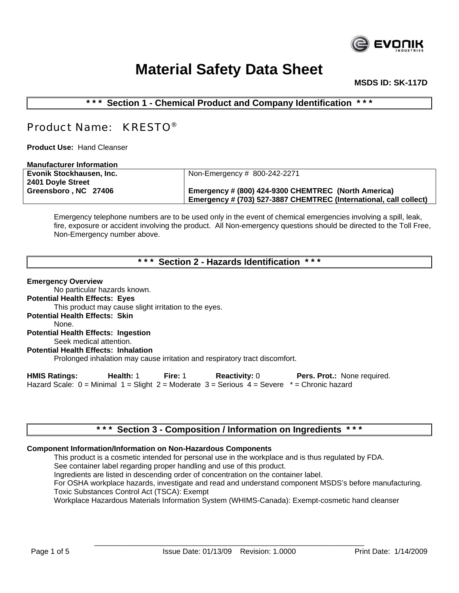

 **MSDS ID: SK-117D**

**\* \* \* Section 1 - Chemical Product and Company Identification \* \* \*** 

## Product Name: KRESTO®

**Product Use:** Hand Cleanser

| <b>Manufacturer Information</b> |                                                                   |
|---------------------------------|-------------------------------------------------------------------|
| Evonik Stockhausen, Inc.        | Non-Emergency # 800-242-2271                                      |
| 2401 Doyle Street               |                                                                   |
| Greensboro, NC 27406            | Emergency # (800) 424-9300 CHEMTREC (North America)               |
|                                 | Emergency # (703) 527-3887 CHEMTREC (International, call collect) |
|                                 |                                                                   |

Emergency telephone numbers are to be used only in the event of chemical emergencies involving a spill, leak, fire, exposure or accident involving the product. All Non-emergency questions should be directed to the Toll Free, Non-Emergency number above.

**\* \* \* Section 2 - Hazards Identification \* \* \*** 

## **Emergency Overview**

No particular hazards known. **Potential Health Effects: Eyes** This product may cause slight irritation to the eyes. **Potential Health Effects: Skin** None. **Potential Health Effects: Ingestion** Seek medical attention. **Potential Health Effects: Inhalation** Prolonged inhalation may cause irritation and respiratory tract discomfort.

**HMIS Ratings: Health:** 1 **Fire:** 1 **Reactivity:** 0 **Pers. Prot.:** None required. Hazard Scale:  $0 =$  Minimal  $1 =$  Slight  $2 =$  Moderate  $3 =$  Serious  $4 =$  Severe  $* =$  Chronic hazard

## **\* \* \* Section 3 - Composition / Information on Ingredients \* \* \***

## **Component Information/Information on Non-Hazardous Components**

This product is a cosmetic intended for personal use in the workplace and is thus regulated by FDA.

See container label regarding proper handling and use of this product.

Ingredients are listed in descending order of concentration on the container label.

For OSHA workplace hazards, investigate and read and understand component MSDS's before manufacturing. Toxic Substances Control Act (TSCA): Exempt

Workplace Hazardous Materials Information System (WHIMS-Canada): Exempt-cosmetic hand cleanser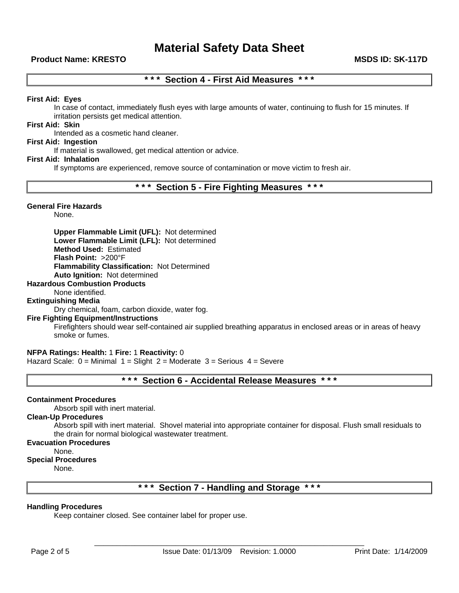## **Product Name: KRESTO MSDS ID: SK-117D**

## **\* \* \* Section 4 - First Aid Measures \* \* \***

## **First Aid: Eyes**

In case of contact, immediately flush eyes with large amounts of water, continuing to flush for 15 minutes. If irritation persists get medical attention.

## **First Aid: Skin**

Intended as a cosmetic hand cleaner.

#### **First Aid: Ingestion**

If material is swallowed, get medical attention or advice.

## **First Aid: Inhalation**

If symptoms are experienced, remove source of contamination or move victim to fresh air.

**\* \* \* Section 5 - Fire Fighting Measures \* \* \*** 

## **General Fire Hazards**

None.

**Upper Flammable Limit (UFL):** Not determined **Lower Flammable Limit (LFL):** Not determined **Method Used:** Estimated **Flash Point:** >200°F **Flammability Classification:** Not Determined **Auto Ignition:** Not determined

## **Hazardous Combustion Products**

## None identified.

## **Extinguishing Media**

Dry chemical, foam, carbon dioxide, water fog.

## **Fire Fighting Equipment/Instructions**

Firefighters should wear self-contained air supplied breathing apparatus in enclosed areas or in areas of heavy smoke or fumes.

## **NFPA Ratings: Health:** 1 **Fire:** 1 **Reactivity:** 0

Hazard Scale:  $0 =$  Minimal  $1 =$  Slight  $2 =$  Moderate  $3 =$  Serious  $4 =$  Severe

## **\* \* \* Section 6 - Accidental Release Measures \* \* \***

## **Containment Procedures**

Absorb spill with inert material.

## **Clean-Up Procedures**

Absorb spill with inert material. Shovel material into appropriate container for disposal. Flush small residuals to the drain for normal biological wastewater treatment.

## **Evacuation Procedures**

None.

## **Special Procedures**

None.

## **\* \* \* Section 7 - Handling and Storage \* \* \***

## **Handling Procedures**

Keep container closed. See container label for proper use.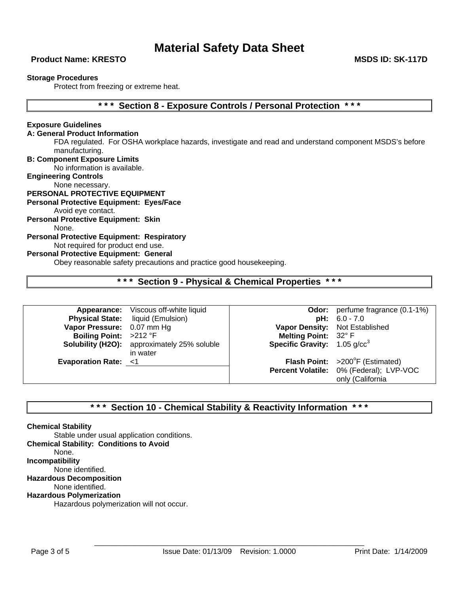## **Product Name: KRESTO MSDS ID: SK-117D**

## **Storage Procedures**

Protect from freezing or extreme heat.

## **\* \* \* Section 8 - Exposure Controls / Personal Protection \* \* \***

## **Exposure Guidelines**

## **A: General Product Information**

FDA regulated. For OSHA workplace hazards, investigate and read and understand component MSDS's before manufacturing.

**B: Component Exposure Limits** 

No information is available.

**Engineering Controls**

#### None necessary. **PERSONAL PROTECTIVE EQUIPMENT**

## **Personal Protective Equipment: Eyes/Face**

Avoid eye contact.

**Personal Protective Equipment: Skin** None.

## **Personal Protective Equipment: Respiratory**

## Not required for product end use.

## **Personal Protective Equipment: General**

Obey reasonable safety precautions and practice good housekeeping.

## **\* \* \* Section 9 - Physical & Chemical Properties \* \* \***

|                            | Appearance: Viscous off-white liquid               |                                            | <b>Odor:</b> perfume fragrance (0.1-1%) |
|----------------------------|----------------------------------------------------|--------------------------------------------|-----------------------------------------|
|                            | <b>Physical State:</b> liquid (Emulsion)           |                                            | $pH: 6.0 - 7.0$                         |
| Vapor Pressure: 0.07 mm Hg |                                                    |                                            | Vapor Density: Not Established          |
| Boiling Point: >212 °F     |                                                    | Melting Point: 32° F                       |                                         |
|                            | <b>Solubility (H2O):</b> approximately 25% soluble | <b>Specific Gravity:</b> 1.05 $q$ / $cc^3$ |                                         |
|                            | in water                                           |                                            |                                         |
| Evaporation Rate: <1       |                                                    |                                            | Flash Point: >200°F (Estimated)         |
|                            |                                                    |                                            | Percent Volatile: 0% (Federal); LVP-VOC |
|                            |                                                    |                                            | only (California                        |

## **\* \* \* Section 10 - Chemical Stability & Reactivity Information \* \* \***

#### **Chemical Stability**

Stable under usual application conditions. **Chemical Stability: Conditions to Avoid** None. **Incompatibility** None identified. **Hazardous Decomposition** None identified. **Hazardous Polymerization**

Hazardous polymerization will not occur.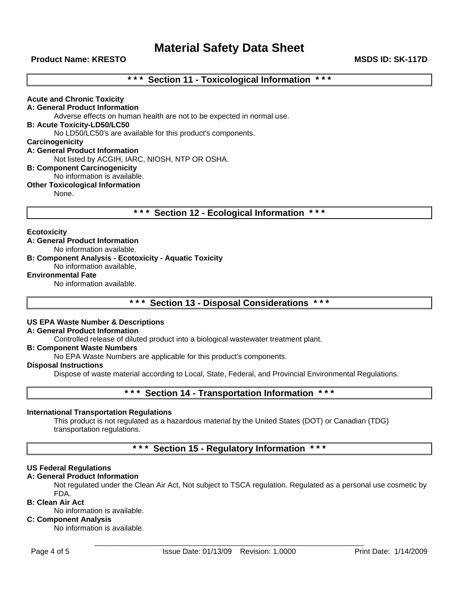**Product Name: KRESTO MSDS ID: SK-117D** 

## **\* \* \* Section 11 - Toxicological Information \* \* \***

**Acute and Chronic Toxicity A: General Product Information** Adverse effects on human health are not to be expected in normal use. **B: Acute Toxicity-LD50/LC50**  No LD50/LC50's are available for this product's components. **Carcinogenicity A: General Product Information** Not listed by ACGIH, IARC, NIOSH, NTP OR OSHA. **B: Component Carcinogenicity**  No information is available. **Other Toxicological Information** None.

**\* \* \* Section 12 - Ecological Information \* \* \*** 

## **Ecotoxicity**

## **A: General Product Information**

No information available.

**B: Component Analysis - Ecotoxicity - Aquatic Toxicity** 

## No information available,

## **Environmental Fate**

No information available.

## **\* \* \* Section 13 - Disposal Considerations \* \* \***

#### **US EPA Waste Number & Descriptions**

#### **A: General Product Information**

Controlled release of diluted product into a biological wastewater treatment plant.

#### **B: Component Waste Numbers**

No EPA Waste Numbers are applicable for this product's components.

## **Disposal Instructions**

Dispose of waste material according to Local, State, Federal, and Provincial Environmental Regulations.

## **\* \* \* Section 14 - Transportation Information \* \* \***

## **International Transportation Regulations**

This product is not regulated as a hazardous material by the United States (DOT) or Canadian (TDG) transportation regulations.

## **\* \* \* Section 15 - Regulatory Information \* \* \***

## **US Federal Regulations**

#### **A: General Product Information**

Not regulated under the Clean Air Act, Not subject to TSCA regulation. Regulated as a personal use cosmetic by FDA.

#### **B: Clean Air Act**

No information is available.

## **C: Component Analysis**

No information is available.